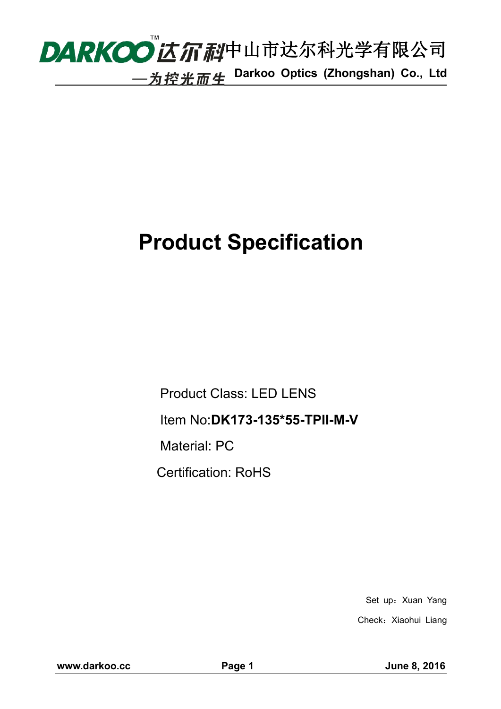

## **Product Specification**

Product Class: LED LENS Item No:**DK173-135\*55-TPII-M-V** Material: PC Certification: RoHS

> Set up: Xuan Yang Check: Xiaohui Liang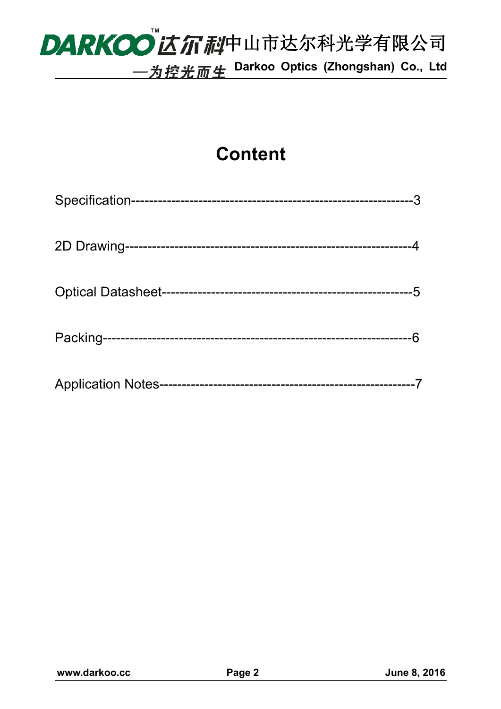# DARKOO 乙尔利中山市达尔科光学有限公司 **Darkoo Optics (Zhongshan) Co., Ltd**

### **Content**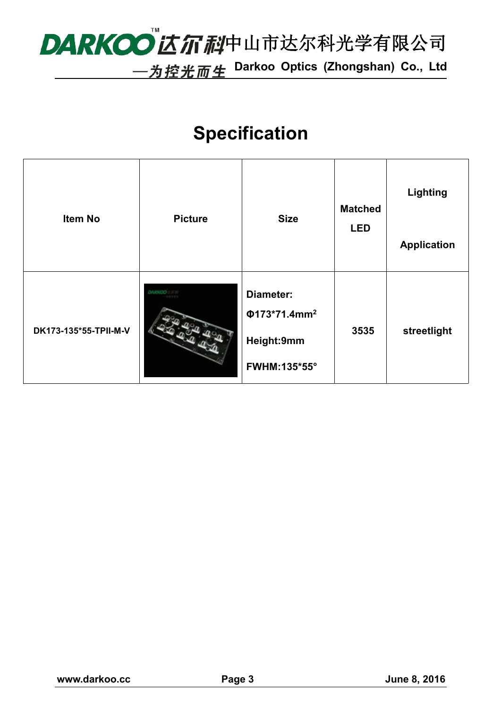# DARKOO 乙尔利中山市达尔科光学有限公司

**Darkoo Optics (Zhongshan) Co., Ltd**

### **Specification**

| <b>Item No</b>        | <b>Picture</b> | <b>Size</b>                                                      | <b>Matched</b><br><b>LED</b> | <b>Lighting</b><br><b>Application</b> |  |
|-----------------------|----------------|------------------------------------------------------------------|------------------------------|---------------------------------------|--|
| DK173-135*55-TPII-M-V | <b>DAINED</b>  | Diameter:<br>$Φ173*71.4mm2$<br>Height:9mm<br><b>FWHM:135*55°</b> | 3535                         | streetlight                           |  |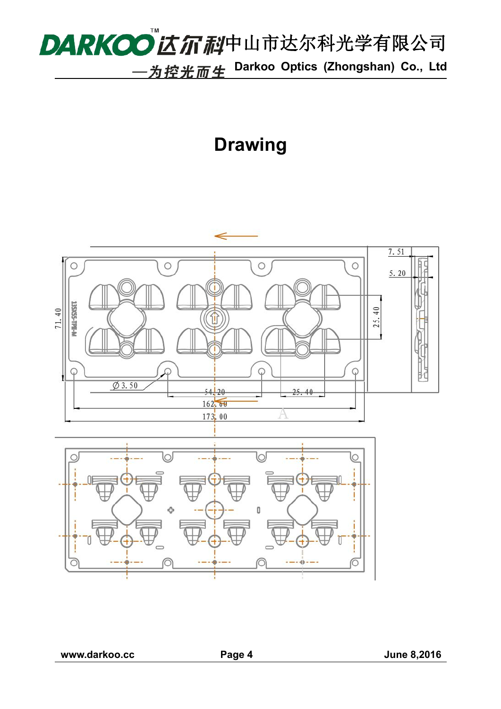

### **Drawing**



**www.darkoo.cc Page 4 June 8,2016**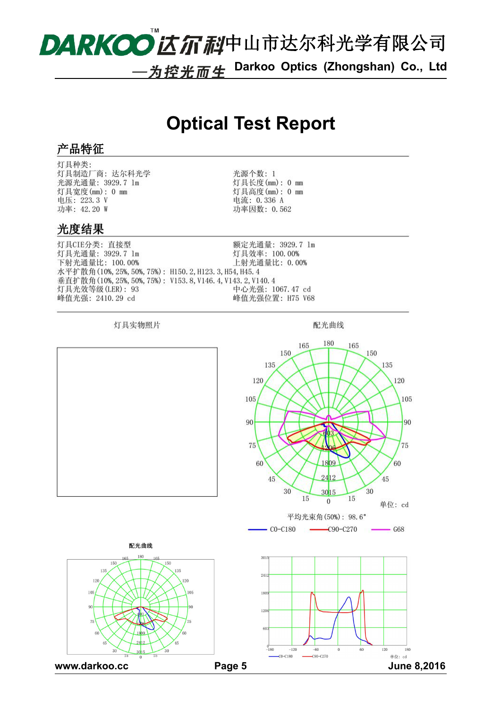

**Darkoo Optics (Zhongshan) Co., Ltd**

### **Optical Test Report**

#### 产品特征

灯具种类: 灯具制造厂商: 达尔科光学 光源光通量: 3929.7 lm 灯具宽度(mm): 0 mm 电压: 223.3 V 功率: 42.20 W

光源个数: 1 灯具长度(mm): 0 mm 灯具高度(mm): 0 mm 电流: 0.336 A 功率因数: 0.562

#### 光度结果

灯具CIE分类: 直接型 额定光通量: 3929.7 lm 灯具光通量: 3929.7 lm 灯具效率: 100.00% 下射光通量比: 100.00% 上射光通量比: 0.00% 水平扩散角(10%, 25%, 50%, 75%): H150.2, H123.3, H54, H45.4 垂直扩散角(10%, 25%, 50%, 75%): V153.8, V146.4, V143.2, V140.4 灯具光效等级(LER): 93 中心光强: 1067.47 cd 峰值光强: 2410.29 cd 峰值光强位置: H75 V68

灯具实物照片

配光曲线

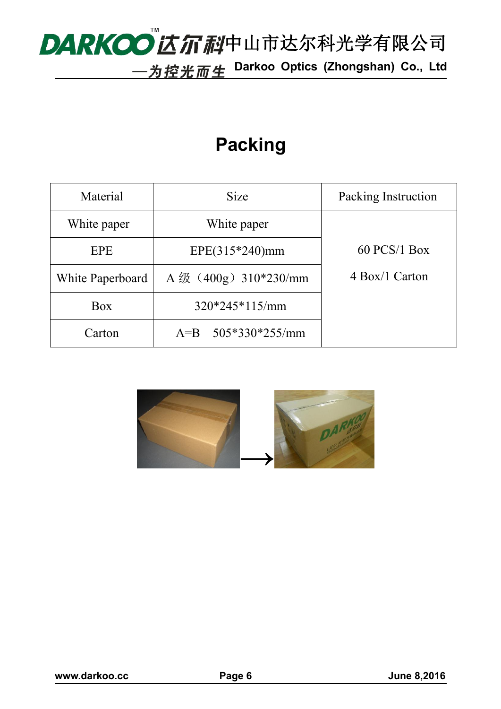# DARKOO 乙尔利中山市达尔科光学有限公司

**Darkoo Optics (Zhongshan) Co., Ltd**

### **Packing**

| Material         | Size                        | Packing Instruction |  |
|------------------|-----------------------------|---------------------|--|
| White paper      | White paper                 |                     |  |
| EPE              | $EPE(315*240)mm$            | $60$ PCS/1 Box      |  |
| White Paperboard | A $\frac{400g}{310*230/mm}$ | 4 Box/1 Carton      |  |
| Box              | $320*245*115/mm$            |                     |  |
| Carton           | $505*330*255/mm$<br>$A = B$ |                     |  |